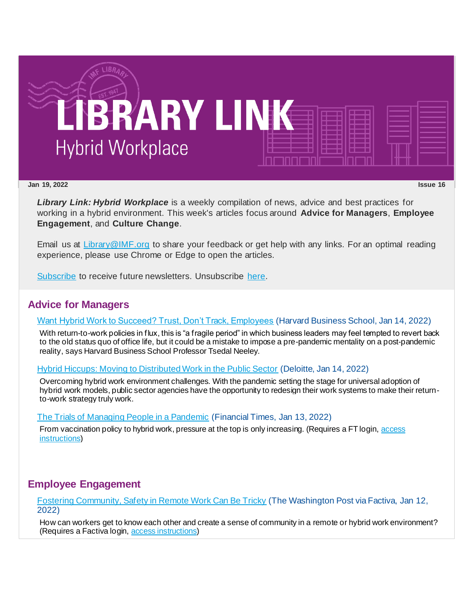

#### **Jan 19, 2022 Issue 16**

*Library Link: Hybrid Workplace* is a weekly compilation of news, advice and best practices for working in a hybrid environment. This week's articles focus around **Advice for Managers**, **Employee Engagement**, and **Culture Change**.

Email us at [Library@IMF.org](mailto:Library@IMF.org) to share your feedback or get help with any links. For an optimal reading experience, please use Chrome or Edge to open the articles.

[Subscribe](http://t.imfconnect.imf.org/r/?id=h6390d5,31caab9,31d5609&p1=%40ZXzA1Njcpd00gELyhxxqnQCpaVoiin98RwDLyIaKrlfhUV-TypaZ4ykIvupagsNQujkYEpDXkzxyguXpoufyyt_Sj4s) to receive future newsletters. Unsubscribe [here.](http://t.imfconnect.imf.org/r/?id=h6390d5,31caab9,31d560a&p1=%40ZXzA1Njcpd00gELyhxxqnQCpaVoiin98RwDLyIaKrlfhUV-TypaZ4ykIvupagsNQujkYEpDXkzxyguXpoufyyt_Sj4s)

## **Advice for Managers**

#### [Want Hybrid Work to Succeed? Trust, Don't Track, Employees](http://t.imfconnect.imf.org/r/?id=h6390d5,31caab9,31d560b) (Harvard Business School, Jan 14, 2022)

With return-to-work policies in flux, this is "a fragile period" in which business leaders may feel tempted to revert back to the old status quo of office life, but it could be a mistake to impose a pre-pandemic mentality on a post-pandemic reality, says Harvard Business School Professor Tsedal Neeley.

[Hybrid Hiccups: Moving to Distributed Work in the Public Sector](http://t.imfconnect.imf.org/r/?id=h6390d5,31caab9,31d6386) (Deloitte, Jan 14, 2022)

Overcoming hybrid work environment challenges. With the pandemic setting the stage for universal adoption of hybrid work models, public sector agencies have the opportunity to redesign their work systems to make their returnto-work strategy truly work.

[The Trials of Managing People in a Pandemic](http://t.imfconnect.imf.org/r/?id=h6390d5,31caab9,31d6387) (Financial Times, Jan 13, 2022)

From vaccination policy to hybrid work, pressure at the top is only increasing. (Requires a FT login, access [instructions](http://t.imfconnect.imf.org/r/?id=h6390d5,31caab9,31d638d))

# **Employee Engagement**

[Fostering Community, Safety in Remote Work Can Be Tricky](http://t.imfconnect.imf.org/r/?id=h6390d5,31caab9,31d6391) (The Washington Post via Factiva, Jan 12, 2022)

How can workers get to know each other and create a sense of community in a remote or hybrid work environment? (Requires a Factiva login, [access instructions](http://t.imfconnect.imf.org/r/?id=h6390d5,31caab9,31d6388))